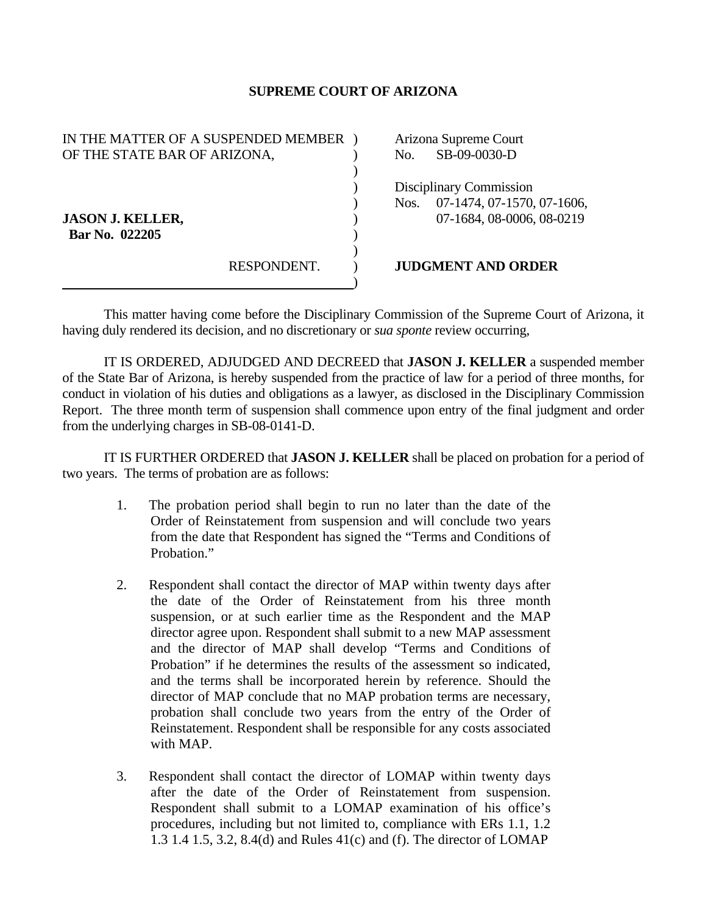## **SUPREME COURT OF ARIZONA**

| IN THE MATTER OF A SUSPENDED MEMBER |             | Arizona Supreme Court |                            |
|-------------------------------------|-------------|-----------------------|----------------------------|
| OF THE STATE BAR OF ARIZONA,        |             | No.                   | SB-09-0030-D               |
|                                     |             |                       |                            |
|                                     |             |                       | Disciplinary Commission    |
|                                     |             | Nos.                  | 07-1474, 07-1570, 07-1606, |
| <b>JASON J. KELLER,</b>             |             |                       | 07-1684, 08-0006, 08-0219  |
| Bar No. 022205                      |             |                       |                            |
|                                     |             |                       |                            |
|                                     | RESPONDENT. |                       | <b>JUDGMENT AND ORDER</b>  |
|                                     |             |                       |                            |

 This matter having come before the Disciplinary Commission of the Supreme Court of Arizona, it having duly rendered its decision, and no discretionary or *sua sponte* review occurring,

 IT IS ORDERED, ADJUDGED AND DECREED that **JASON J. KELLER** a suspended member of the State Bar of Arizona, is hereby suspended from the practice of law for a period of three months, for conduct in violation of his duties and obligations as a lawyer, as disclosed in the Disciplinary Commission Report. The three month term of suspension shall commence upon entry of the final judgment and order from the underlying charges in SB-08-0141-D.

 IT IS FURTHER ORDERED that **JASON J. KELLER** shall be placed on probation for a period of two years. The terms of probation are as follows:

- 1. The probation period shall begin to run no later than the date of the Order of Reinstatement from suspension and will conclude two years from the date that Respondent has signed the "Terms and Conditions of Probation."
- 2. Respondent shall contact the director of MAP within twenty days after the date of the Order of Reinstatement from his three month suspension, or at such earlier time as the Respondent and the MAP director agree upon. Respondent shall submit to a new MAP assessment and the director of MAP shall develop "Terms and Conditions of Probation" if he determines the results of the assessment so indicated, and the terms shall be incorporated herein by reference. Should the director of MAP conclude that no MAP probation terms are necessary, probation shall conclude two years from the entry of the Order of Reinstatement. Respondent shall be responsible for any costs associated with MAP.
- 3. Respondent shall contact the director of LOMAP within twenty days after the date of the Order of Reinstatement from suspension. Respondent shall submit to a LOMAP examination of his office's procedures, including but not limited to, compliance with ERs 1.1, 1.2 1.3 1.4 1.5, 3.2, 8.4(d) and Rules 41(c) and (f). The director of LOMAP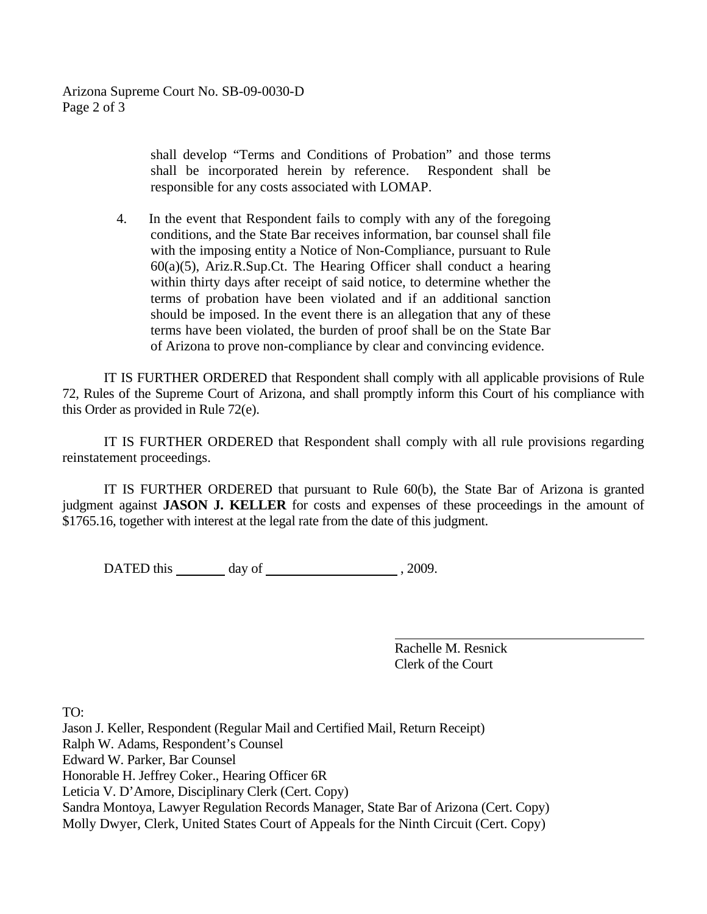shall develop "Terms and Conditions of Probation" and those terms shall be incorporated herein by reference. Respondent shall be responsible for any costs associated with LOMAP.

4. In the event that Respondent fails to comply with any of the foregoing conditions, and the State Bar receives information, bar counsel shall file with the imposing entity a Notice of Non-Compliance, pursuant to Rule 60(a)(5), Ariz.R.Sup.Ct. The Hearing Officer shall conduct a hearing within thirty days after receipt of said notice, to determine whether the terms of probation have been violated and if an additional sanction should be imposed. In the event there is an allegation that any of these terms have been violated, the burden of proof shall be on the State Bar of Arizona to prove non-compliance by clear and convincing evidence.

 IT IS FURTHER ORDERED that Respondent shall comply with all applicable provisions of Rule 72, Rules of the Supreme Court of Arizona, and shall promptly inform this Court of his compliance with this Order as provided in Rule 72(e).

 IT IS FURTHER ORDERED that Respondent shall comply with all rule provisions regarding reinstatement proceedings.

 IT IS FURTHER ORDERED that pursuant to Rule 60(b), the State Bar of Arizona is granted judgment against **JASON J. KELLER** for costs and expenses of these proceedings in the amount of \$1765.16, together with interest at the legal rate from the date of this judgment.

DATED this day of , 2009.

 Rachelle M. Resnick Clerk of the Court

TO:

Jason J. Keller, Respondent (Regular Mail and Certified Mail, Return Receipt) Ralph W. Adams, Respondent's Counsel Edward W. Parker, Bar Counsel Honorable H. Jeffrey Coker., Hearing Officer 6R Leticia V. D'Amore, Disciplinary Clerk (Cert. Copy) Sandra Montoya, Lawyer Regulation Records Manager, State Bar of Arizona (Cert. Copy) Molly Dwyer, Clerk, United States Court of Appeals for the Ninth Circuit (Cert. Copy)